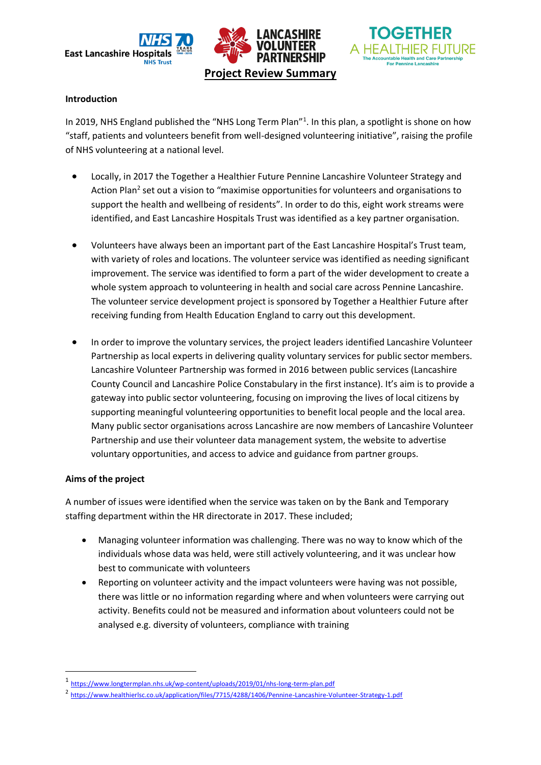





#### **Introduction**

In 2019, NHS England published the "NHS Long Term Plan"<sup>1</sup>. In this plan, a spotlight is shone on how "staff, patients and volunteers benefit from well-designed volunteering initiative", raising the profile of NHS volunteering at a national level.

- Locally, in 2017 the Together a Healthier Future Pennine Lancashire Volunteer Strategy and Action Plan<sup>2</sup> set out a vision to "maximise opportunities for volunteers and organisations to support the health and wellbeing of residents". In order to do this, eight work streams were identified, and East Lancashire Hospitals Trust was identified as a key partner organisation.
- Volunteers have always been an important part of the East Lancashire Hospital's Trust team, with variety of roles and locations. The volunteer service was identified as needing significant improvement. The service was identified to form a part of the wider development to create a whole system approach to volunteering in health and social care across Pennine Lancashire. The volunteer service development project is sponsored by Together a Healthier Future after receiving funding from Health Education England to carry out this development.
- In order to improve the voluntary services, the project leaders identified Lancashire Volunteer Partnership as local experts in delivering quality voluntary services for public sector members. Lancashire Volunteer Partnership was formed in 2016 between public services (Lancashire County Council and Lancashire Police Constabulary in the first instance). It's aim is to provide a gateway into public sector volunteering, focusing on improving the lives of local citizens by supporting meaningful volunteering opportunities to benefit local people and the local area. Many public sector organisations across Lancashire are now members of Lancashire Volunteer Partnership and use their volunteer data management system, the website to advertise voluntary opportunities, and access to advice and guidance from partner groups.

#### **Aims of the project**

**.** 

A number of issues were identified when the service was taken on by the Bank and Temporary staffing department within the HR directorate in 2017. These included;

- Managing volunteer information was challenging. There was no way to know which of the individuals whose data was held, were still actively volunteering, and it was unclear how best to communicate with volunteers
- Reporting on volunteer activity and the impact volunteers were having was not possible, there was little or no information regarding where and when volunteers were carrying out activity. Benefits could not be measured and information about volunteers could not be analysed e.g. diversity of volunteers, compliance with training

<sup>1</sup> <https://www.longtermplan.nhs.uk/wp-content/uploads/2019/01/nhs-long-term-plan.pdf>

<sup>&</sup>lt;sup>2</sup> <https://www.healthierlsc.co.uk/application/files/7715/4288/1406/Pennine-Lancashire-Volunteer-Strategy-1.pdf>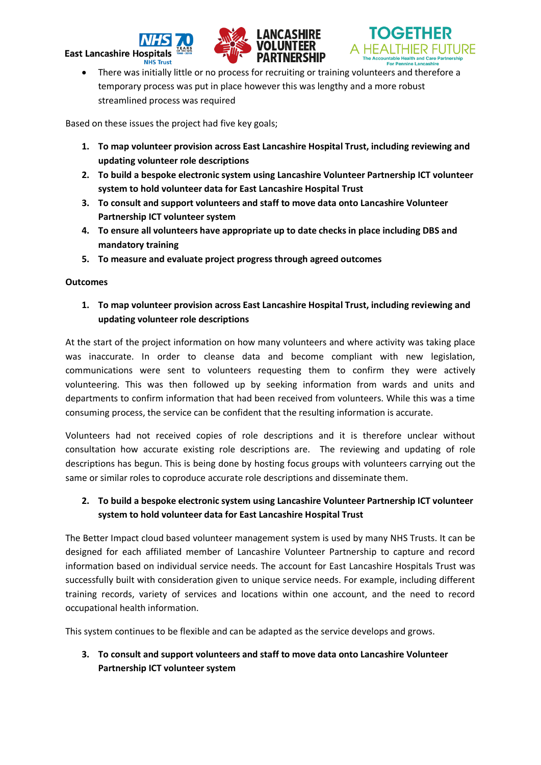# **East Lancashire Hos**





 There was initially little or no process for recruiting or training volunteers and therefore a temporary process was put in place however this was lengthy and a more robust streamlined process was required

Based on these issues the project had five key goals;

- **1. To map volunteer provision across East Lancashire Hospital Trust, including reviewing and updating volunteer role descriptions**
- **2. To build a bespoke electronic system using Lancashire Volunteer Partnership ICT volunteer system to hold volunteer data for East Lancashire Hospital Trust**
- **3. To consult and support volunteers and staff to move data onto Lancashire Volunteer Partnership ICT volunteer system**
- **4. To ensure all volunteers have appropriate up to date checks in place including DBS and mandatory training**
- **5. To measure and evaluate project progress through agreed outcomes**

#### **Outcomes**

**1. To map volunteer provision across East Lancashire Hospital Trust, including reviewing and updating volunteer role descriptions**

At the start of the project information on how many volunteers and where activity was taking place was inaccurate. In order to cleanse data and become compliant with new legislation, communications were sent to volunteers requesting them to confirm they were actively volunteering. This was then followed up by seeking information from wards and units and departments to confirm information that had been received from volunteers. While this was a time consuming process, the service can be confident that the resulting information is accurate.

Volunteers had not received copies of role descriptions and it is therefore unclear without consultation how accurate existing role descriptions are. The reviewing and updating of role descriptions has begun. This is being done by hosting focus groups with volunteers carrying out the same or similar roles to coproduce accurate role descriptions and disseminate them.

# **2. To build a bespoke electronic system using Lancashire Volunteer Partnership ICT volunteer system to hold volunteer data for East Lancashire Hospital Trust**

The Better Impact cloud based volunteer management system is used by many NHS Trusts. It can be designed for each affiliated member of Lancashire Volunteer Partnership to capture and record information based on individual service needs. The account for East Lancashire Hospitals Trust was successfully built with consideration given to unique service needs. For example, including different training records, variety of services and locations within one account, and the need to record occupational health information.

This system continues to be flexible and can be adapted as the service develops and grows.

# **3. To consult and support volunteers and staff to move data onto Lancashire Volunteer Partnership ICT volunteer system**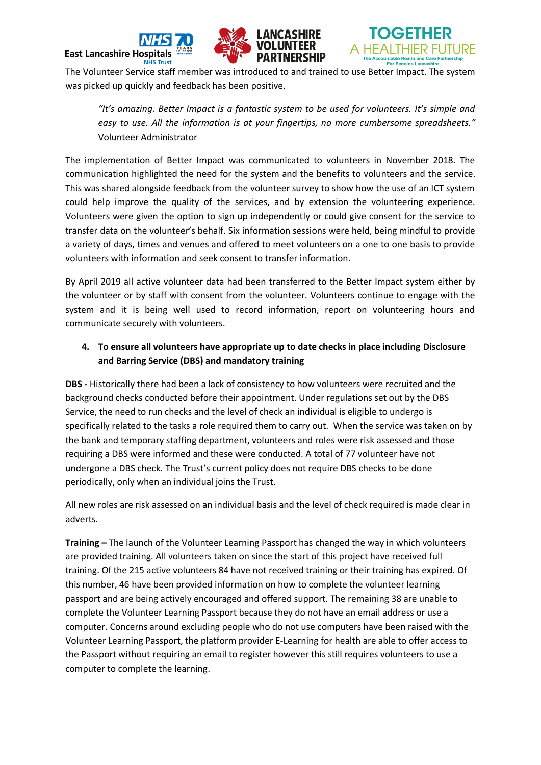



The Volunteer Service staff member was introduced to and trained to use Better Impact. The system was picked up quickly and feedback has been positive.

*"It's amazing. Better Impact is a fantastic system to be used for volunteers. It's simple and easy to use. All the information is at your fingertips, no more cumbersome spreadsheets."* Volunteer Administrator

The implementation of Better Impact was communicated to volunteers in November 2018. The communication highlighted the need for the system and the benefits to volunteers and the service. This was shared alongside feedback from the volunteer survey to show how the use of an ICT system could help improve the quality of the services, and by extension the volunteering experience. Volunteers were given the option to sign up independently or could give consent for the service to transfer data on the volunteer's behalf. Six information sessions were held, being mindful to provide a variety of days, times and venues and offered to meet volunteers on a one to one basis to provide volunteers with information and seek consent to transfer information.

By April 2019 all active volunteer data had been transferred to the Better Impact system either by the volunteer or by staff with consent from the volunteer. Volunteers continue to engage with the system and it is being well used to record information, report on volunteering hours and communicate securely with volunteers.

# **4. To ensure all volunteers have appropriate up to date checks in place including Disclosure and Barring Service (DBS) and mandatory training**

**DBS -** Historically there had been a lack of consistency to how volunteers were recruited and the background checks conducted before their appointment. Under regulations set out by the DBS Service, the need to run checks and the level of check an individual is eligible to undergo is specifically related to the tasks a role required them to carry out. When the service was taken on by the bank and temporary staffing department, volunteers and roles were risk assessed and those requiring a DBS were informed and these were conducted. A total of 77 volunteer have not undergone a DBS check. The Trust's current policy does not require DBS checks to be done periodically, only when an individual joins the Trust.

All new roles are risk assessed on an individual basis and the level of check required is made clear in adverts.

**Training –** The launch of the Volunteer Learning Passport has changed the way in which volunteers are provided training. All volunteers taken on since the start of this project have received full training. Of the 215 active volunteers 84 have not received training or their training has expired. Of this number, 46 have been provided information on how to complete the volunteer learning passport and are being actively encouraged and offered support. The remaining 38 are unable to complete the Volunteer Learning Passport because they do not have an email address or use a computer. Concerns around excluding people who do not use computers have been raised with the Volunteer Learning Passport, the platform provider E-Learning for health are able to offer access to the Passport without requiring an email to register however this still requires volunteers to use a computer to complete the learning.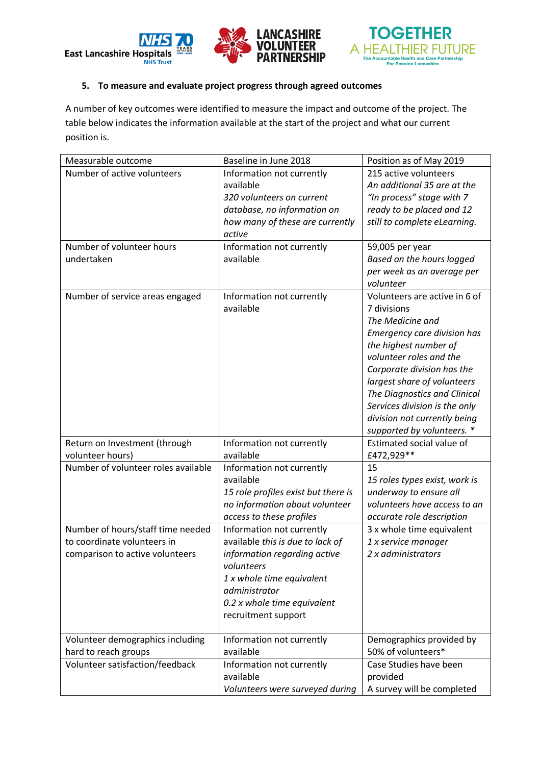



#### **5. To measure and evaluate project progress through agreed outcomes**

A number of key outcomes were identified to measure the impact and outcome of the project. The table below indicates the information available at the start of the project and what our current position is.

| Measurable outcome                                | Baseline in June 2018               | Position as of May 2019                                       |
|---------------------------------------------------|-------------------------------------|---------------------------------------------------------------|
| Number of active volunteers                       | Information not currently           | 215 active volunteers                                         |
|                                                   | available                           | An additional 35 are at the                                   |
|                                                   | 320 volunteers on current           | "In process" stage with 7                                     |
|                                                   | database, no information on         | ready to be placed and 12                                     |
|                                                   | how many of these are currently     | still to complete eLearning.                                  |
|                                                   | active                              |                                                               |
| Number of volunteer hours                         | Information not currently           | 59,005 per year                                               |
| undertaken                                        | available                           | Based on the hours logged                                     |
|                                                   |                                     | per week as an average per                                    |
|                                                   |                                     | volunteer                                                     |
| Number of service areas engaged                   | Information not currently           | Volunteers are active in 6 of                                 |
|                                                   | available                           | 7 divisions                                                   |
|                                                   |                                     | The Medicine and                                              |
|                                                   |                                     | Emergency care division has                                   |
|                                                   |                                     | the highest number of                                         |
|                                                   |                                     | volunteer roles and the                                       |
|                                                   |                                     | Corporate division has the                                    |
|                                                   |                                     | largest share of volunteers                                   |
|                                                   |                                     | The Diagnostics and Clinical                                  |
|                                                   |                                     | Services division is the only<br>division not currently being |
|                                                   |                                     | supported by volunteers. *                                    |
|                                                   | Information not currently           | Estimated social value of                                     |
| Return on Investment (through<br>volunteer hours) | available                           | £472,929**                                                    |
| Number of volunteer roles available               | Information not currently           | 15                                                            |
|                                                   | available                           | 15 roles types exist, work is                                 |
|                                                   | 15 role profiles exist but there is | underway to ensure all                                        |
|                                                   | no information about volunteer      | volunteers have access to an                                  |
|                                                   | access to these profiles            | accurate role description                                     |
| Number of hours/staff time needed                 | Information not currently           | 3 x whole time equivalent                                     |
| to coordinate volunteers in                       | available this is due to lack of    | 1 x service manager                                           |
| comparison to active volunteers                   | information regarding active        | 2 x administrators                                            |
|                                                   | volunteers                          |                                                               |
|                                                   | 1 x whole time equivalent           |                                                               |
|                                                   | administrator                       |                                                               |
|                                                   | 0.2 x whole time equivalent         |                                                               |
|                                                   | recruitment support                 |                                                               |
|                                                   |                                     |                                                               |
| Volunteer demographics including                  | Information not currently           | Demographics provided by                                      |
| hard to reach groups                              | available                           | 50% of volunteers*                                            |
| Volunteer satisfaction/feedback                   | Information not currently           | Case Studies have been                                        |
|                                                   | available                           | provided                                                      |
|                                                   | Volunteers were surveyed during     | A survey will be completed                                    |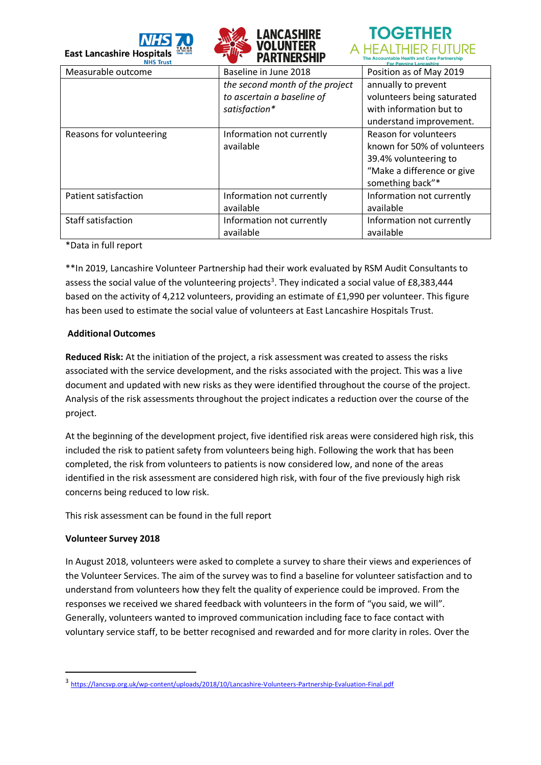



# **TOGETHER** A HEALTHIER FUTURE

| <b>NHS Trust</b>         |                                 | <b>For Pennine Lancashire</b> |
|--------------------------|---------------------------------|-------------------------------|
| Measurable outcome       | Baseline in June 2018           | Position as of May 2019       |
|                          | the second month of the project | annually to prevent           |
|                          | to ascertain a baseline of      | volunteers being saturated    |
|                          | satisfaction*                   | with information but to       |
|                          |                                 | understand improvement.       |
| Reasons for volunteering | Information not currently       | <b>Reason for volunteers</b>  |
|                          | available                       | known for 50% of volunteers   |
|                          |                                 | 39.4% volunteering to         |
|                          |                                 | "Make a difference or give    |
|                          |                                 | something back"*              |
| Patient satisfaction     | Information not currently       | Information not currently     |
|                          | available                       | available                     |
| Staff satisfaction       | Information not currently       | Information not currently     |
|                          | available                       | available                     |
|                          |                                 |                               |

\*Data in full report

\*\*In 2019, Lancashire Volunteer Partnership had their work evaluated by RSM Audit Consultants to assess the social value of the volunteering projects<sup>3</sup>. They indicated a social value of £8,383,444 based on the activity of 4,212 volunteers, providing an estimate of £1,990 per volunteer. This figure has been used to estimate the social value of volunteers at East Lancashire Hospitals Trust.

### **Additional Outcomes**

**Reduced Risk:** At the initiation of the project, a risk assessment was created to assess the risks associated with the service development, and the risks associated with the project. This was a live document and updated with new risks as they were identified throughout the course of the project. Analysis of the risk assessments throughout the project indicates a reduction over the course of the project.

At the beginning of the development project, five identified risk areas were considered high risk, this included the risk to patient safety from volunteers being high. Following the work that has been completed, the risk from volunteers to patients is now considered low, and none of the areas identified in the risk assessment are considered high risk, with four of the five previously high risk concerns being reduced to low risk.

This risk assessment can be found in the full report

# **Volunteer Survey 2018**

-

In August 2018, volunteers were asked to complete a survey to share their views and experiences of the Volunteer Services. The aim of the survey was to find a baseline for volunteer satisfaction and to understand from volunteers how they felt the quality of experience could be improved. From the responses we received we shared feedback with volunteers in the form of "you said, we will". Generally, volunteers wanted to improved communication including face to face contact with voluntary service staff, to be better recognised and rewarded and for more clarity in roles. Over the

<sup>3</sup> <https://lancsvp.org.uk/wp-content/uploads/2018/10/Lancashire-Volunteers-Partnership-Evaluation-Final.pdf>